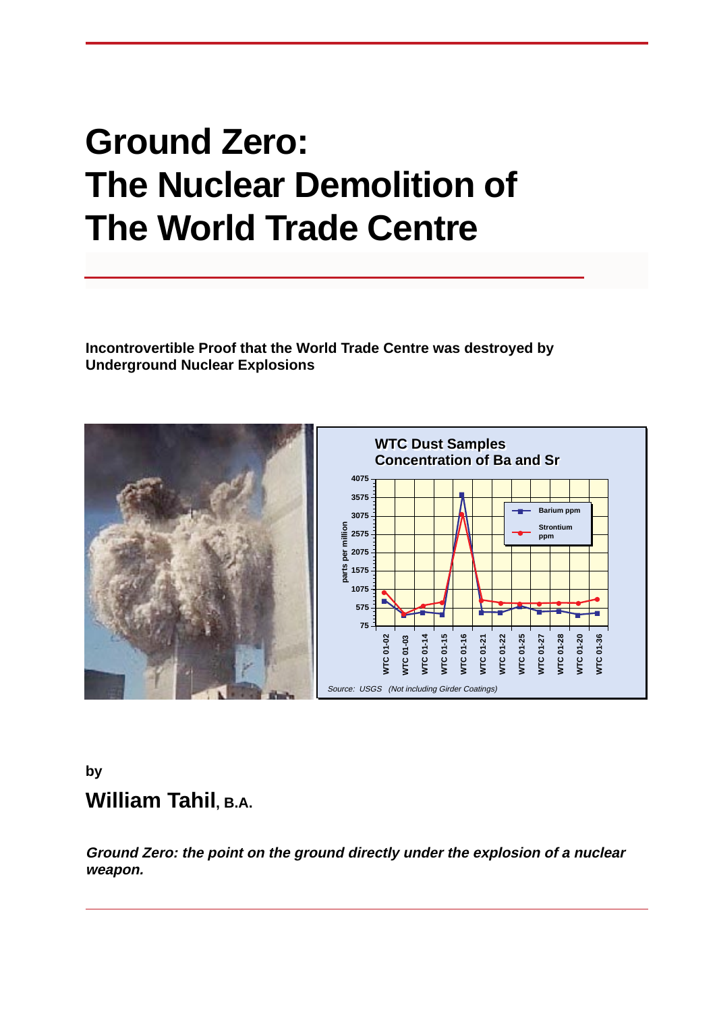# **Ground Zero: The Nuclear Demolition of The World Trade Centre**

**Incontrovertible Proof that the World Trade Centre was destroyed by Underground Nuclear Explosions**



### **by William Tahil, B.A.**

**Ground Zero: the point on the ground directly under the explosion of a nuclear weapon.**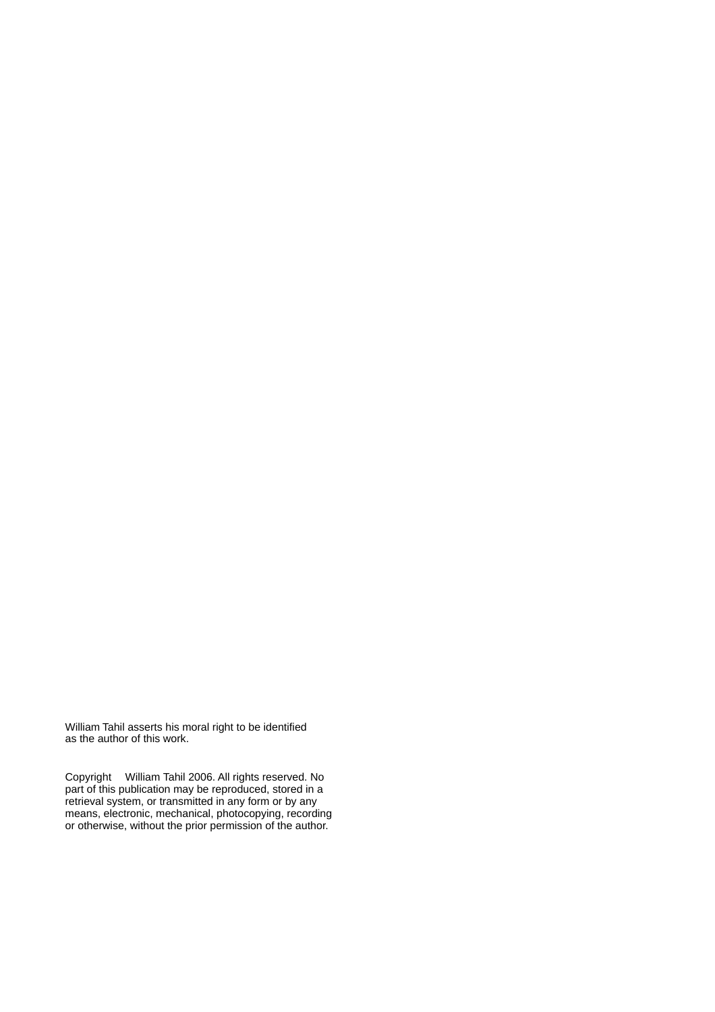William Tahil asserts his moral right to be identified as the author of this work.

Copyright William Tahil 2006. All rights reserved. No part of this publication may be reproduced, stored in a retrieval system, or transmitted in any form or by any means, electronic, mechanical, photocopying, recording or otherwise, without the prior permission of the author.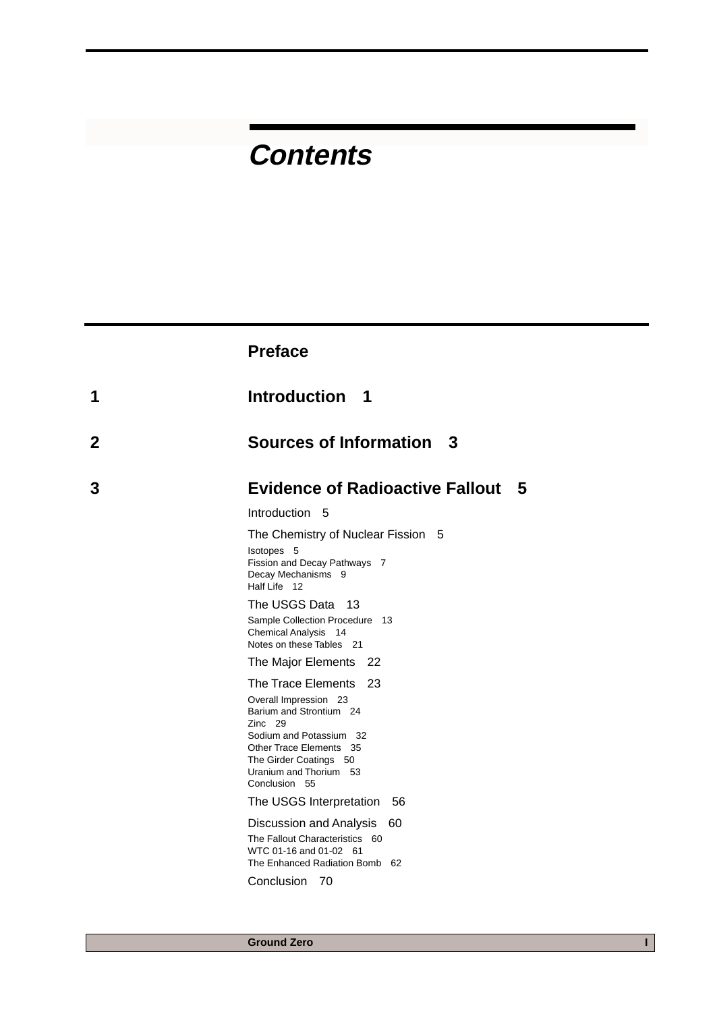## **Contents**

|   | <b>Preface</b>                                                                                                                                                                                                     |
|---|--------------------------------------------------------------------------------------------------------------------------------------------------------------------------------------------------------------------|
| 1 | Introduction 1                                                                                                                                                                                                     |
| 2 | <b>Sources of Information</b><br>- 3                                                                                                                                                                               |
| 3 | <b>Evidence of Radioactive Fallout</b><br>5                                                                                                                                                                        |
|   | Introduction 5                                                                                                                                                                                                     |
|   | The Chemistry of Nuclear Fission 5<br>Isotopes 5<br>Fission and Decay Pathways 7<br>Decay Mechanisms 9<br>Half Life 12                                                                                             |
|   | The USGS Data 13<br>Sample Collection Procedure 13<br><b>Chemical Analysis</b><br>-14<br>Notes on these Tables 21                                                                                                  |
|   | The Major Elements<br>22                                                                                                                                                                                           |
|   | The Trace Elements<br>23<br>Overall Impression 23<br>Barium and Strontium 24<br>Zinc 29<br>Sodium and Potassium 32<br>Other Trace Elements 35<br>The Girder Coatings 50<br>Uranium and Thorium 53<br>Conclusion 55 |
|   | The USGS Interpretation<br>56                                                                                                                                                                                      |
|   | Discussion and Analysis<br>60<br>The Fallout Characteristics 60<br>WTC 01-16 and 01-02 61<br>The Enhanced Radiation Bomb 62                                                                                        |
|   | Conclusion<br>70                                                                                                                                                                                                   |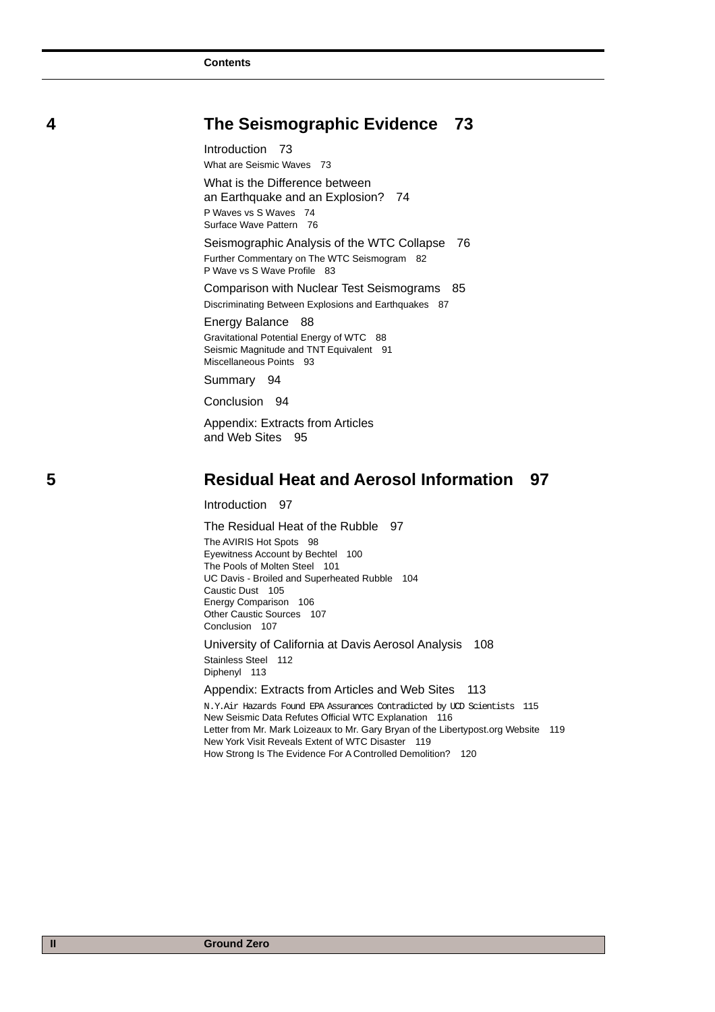#### **4 The Seismographic Evidence 73**

Introduction 73

What are Seismic Waves 73

What is the Difference between an Earthquake and an Explosion? 74 P Waves vs S Waves 74 Surface Wave Pattern 76

Seismographic Analysis of the WTC Collapse 76 Further Commentary on The WTC Seismogram 82 P Wave vs S Wave Profile 83

Comparison with Nuclear Test Seismograms 85 Discriminating Between Explosions and Earthquakes 87

Energy Balance 88 Gravitational Potential Energy of WTC 88 Seismic Magnitude and TNT Equivalent 91 Miscellaneous Points 93

Summary 94

Conclusion 94

Appendix: Extracts from Articles and Web Sites 95

#### **5 Residual Heat and Aerosol Information 97**

Introduction 97

The Residual Heat of the Rubble 97 The AVIRIS Hot Spots 98 Eyewitness Account by Bechtel 100 The Pools of Molten Steel 101 UC Davis - Broiled and Superheated Rubble 104 Caustic Dust 105 Energy Comparison 106 Other Caustic Sources 107 Conclusion 107 University of California at Davis Aerosol Analysis 108

Stainless Steel 112 Diphenyl 113

Appendix: Extracts from Articles and Web Sites 113

N.Y.Air Hazards Found EPA Assurances Contradicted by UCD Scientists 115 New Seismic Data Refutes Official WTC Explanation 116 Letter from Mr. Mark Loizeaux to Mr. Gary Bryan of the Libertypost.org Website 119 New York Visit Reveals Extent of WTC Disaster 119 How Strong Is The Evidence For A Controlled Demolition? 120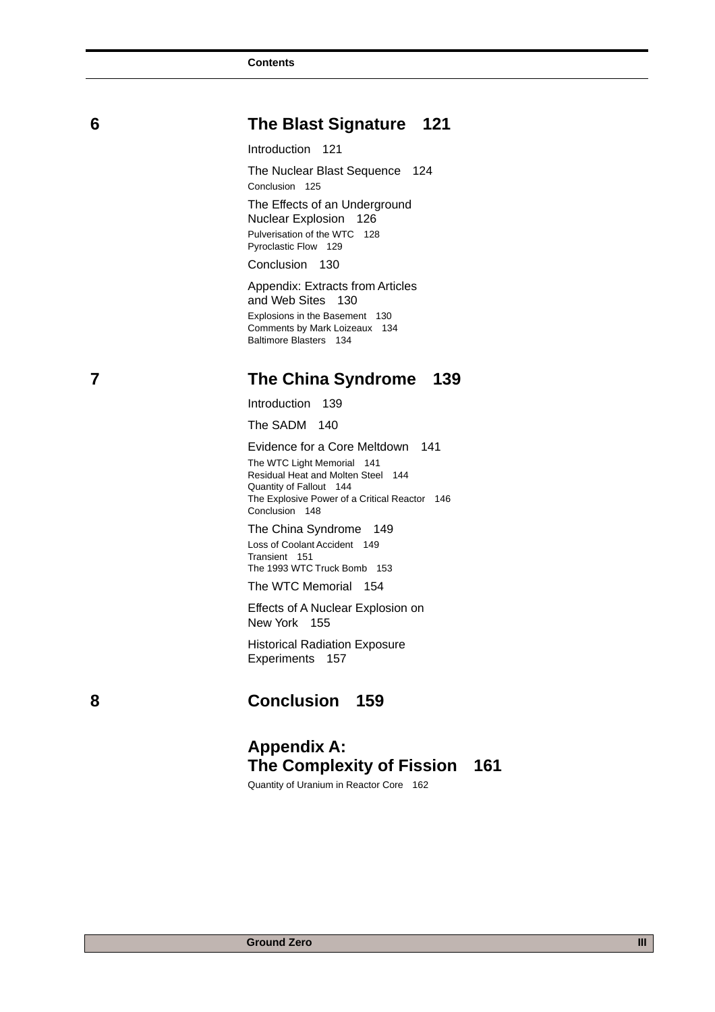### **6 The Blast Signature 121**

Introduction 121

The Nuclear Blast Sequence 124 Conclusion 125

The Effects of an Underground Nuclear Explosion 126 Pulverisation of the WTC 128 Pyroclastic Flow 129

Conclusion 130

Appendix: Extracts from Articles and Web Sites 130 Explosions in the Basement 130 Comments by Mark Loizeaux 134 Baltimore Blasters 134

#### **7 The China Syndrome 139**

Introduction 139

The SADM 140

Evidence for a Core Meltdown 141 The WTC Light Memorial 141 Residual Heat and Molten Steel 144 Quantity of Fallout 144 The Explosive Power of a Critical Reactor 146 Conclusion 148

The China Syndrome 149 Loss of Coolant Accident 149 Transient 151 The 1993 WTC Truck Bomb 153

The WTC Memorial 154

Effects of A Nuclear Explosion on New York 155

Historical Radiation Exposure Experiments 157

 **8 Conclusion 159**

#### **Appendix A: The Complexity of Fission 161**

Quantity of Uranium in Reactor Core 162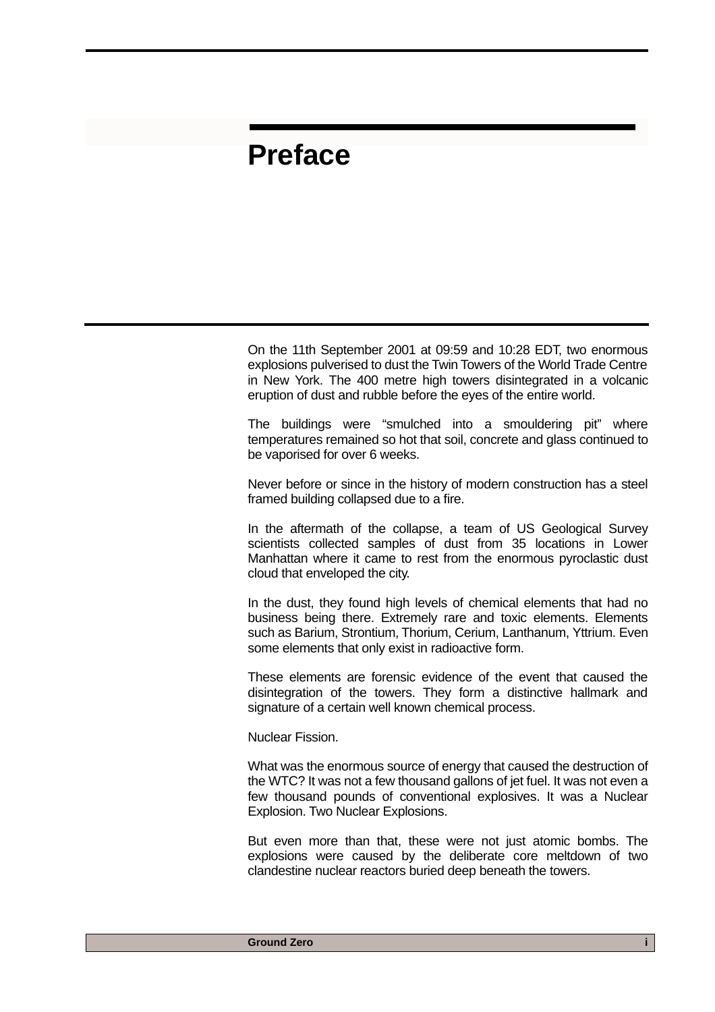### **Preface**

On the 11th September 2001 at 09:59 and 10:28 EDT, two enormous explosions pulverised to dust the Twin Towers of the World Trade Centre in New York. The 400 metre high towers disintegrated in a volcanic eruption of dust and rubble before the eyes of the entire world.

The buildings were "smulched into a smouldering pit" where temperatures remained so hot that soil, concrete and glass continued to be vaporised for over 6 weeks.

Never before or since in the history of modern construction has a steel framed building collapsed due to a fire.

In the aftermath of the collapse, a team of US Geological Survey scientists collected samples of dust from 35 locations in Lower Manhattan where it came to rest from the enormous pyroclastic dust cloud that enveloped the city.

In the dust, they found high levels of chemical elements that had no business being there. Extremely rare and toxic elements. Elements such as Barium, Strontium, Thorium, Cerium, Lanthanum, Yttrium. Even some elements that only exist in radioactive form.

These elements are forensic evidence of the event that caused the disintegration of the towers. They form a distinctive hallmark and signature of a certain well known chemical process.

Nuclear Fission.

What was the enormous source of energy that caused the destruction of the WTC? It was not a few thousand gallons of jet fuel. It was not even a few thousand pounds of conventional explosives. It was a Nuclear Explosion. Two Nuclear Explosions.

But even more than that, these were not just atomic bombs. The explosions were caused by the deliberate core meltdown of two clandestine nuclear reactors buried deep beneath the towers.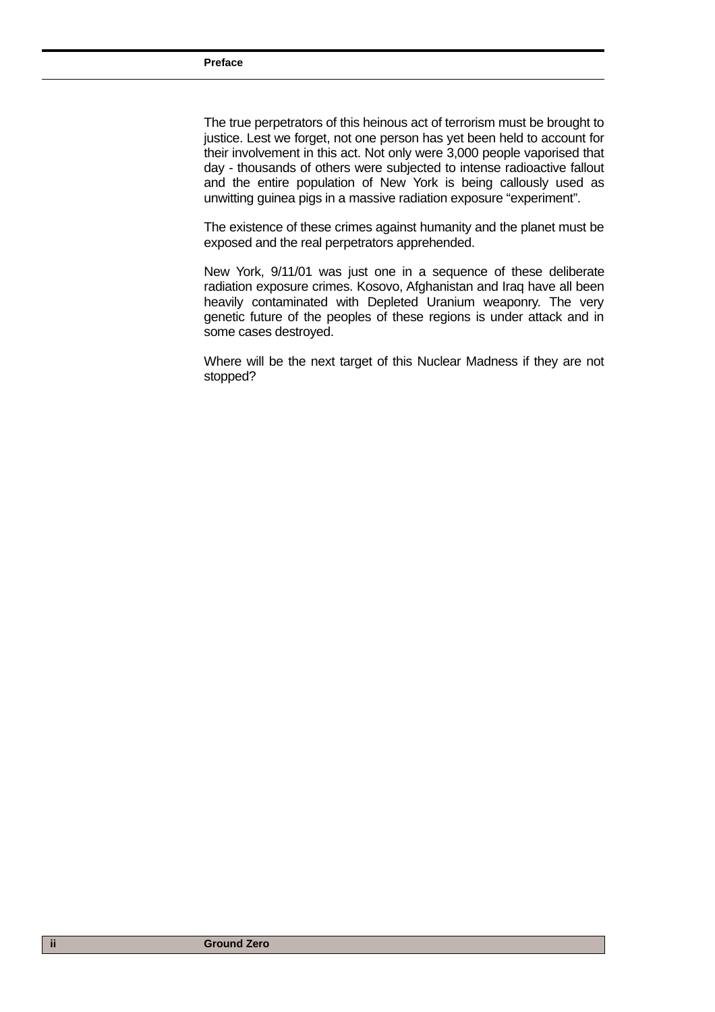The true perpetrators of this heinous act of terrorism must be brought to justice. Lest we forget, not one person has yet been held to account for their involvement in this act. Not only were 3,000 people vaporised that day - thousands of others were subjected to intense radioactive fallout and the entire population of New York is being callously used as unwitting guinea pigs in a massive radiation exposure "experiment".

The existence of these crimes against humanity and the planet must be exposed and the real perpetrators apprehended.

New York, 9/11/01 was just one in a sequence of these deliberate radiation exposure crimes. Kosovo, Afghanistan and Iraq have all been heavily contaminated with Depleted Uranium weaponry. The very genetic future of the peoples of these regions is under attack and in some cases destroyed.

Where will be the next target of this Nuclear Madness if they are not stopped?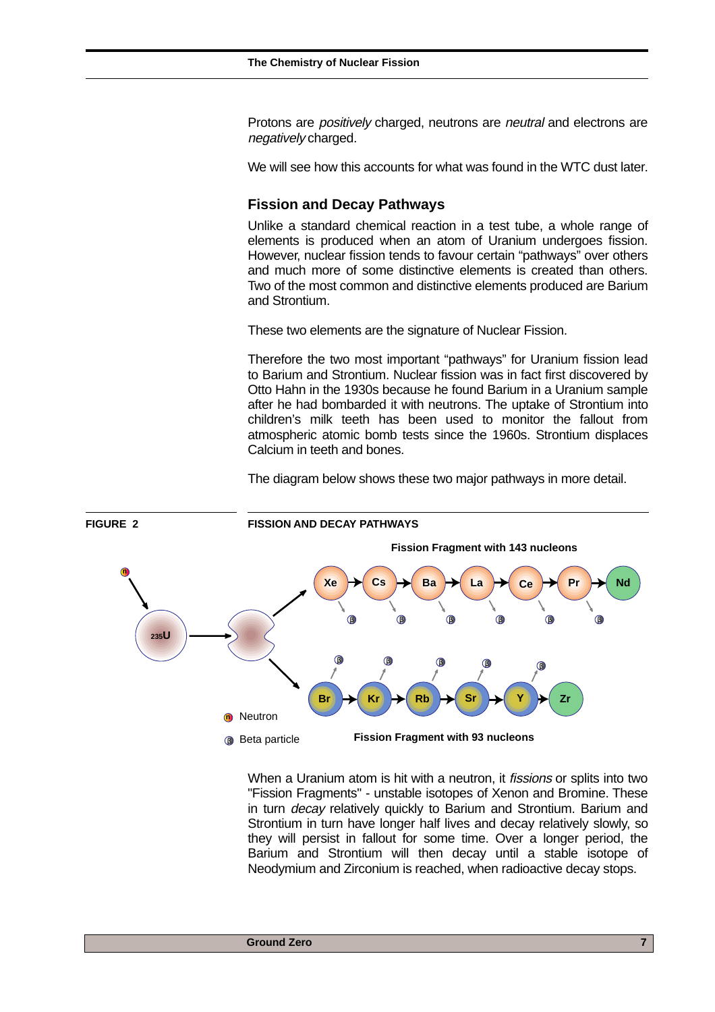Protons are *positively* charged, neutrons are *neutral* and electrons are negatively charged.

We will see how this accounts for what was found in the WTC dust later.

#### **Fission and Decay Pathways**

Unlike a standard chemical reaction in a test tube, a whole range of elements is produced when an atom of Uranium undergoes fission. However, nuclear fission tends to favour certain "pathways" over others and much more of some distinctive elements is created than others. Two of the most common and distinctive elements produced are Barium and Strontium.

These two elements are the signature of Nuclear Fission.

Therefore the two most important "pathways" for Uranium fission lead to Barium and Strontium. Nuclear fission was in fact first discovered by Otto Hahn in the 1930s because he found Barium in a Uranium sample after he had bombarded it with neutrons. The uptake of Strontium into children's milk teeth has been used to monitor the fallout from atmospheric atomic bomb tests since the 1960s. Strontium displaces Calcium in teeth and bones.

The diagram below shows these two major pathways in more detail.



When a Uranium atom is hit with a neutron, it *fissions* or splits into two "Fission Fragments" - unstable isotopes of Xenon and Bromine. These in turn decay relatively quickly to Barium and Strontium. Barium and Strontium in turn have longer half lives and decay relatively slowly, so they will persist in fallout for some time. Over a longer period, the Barium and Strontium will then decay until a stable isotope of Neodymium and Zirconium is reached, when radioactive decay stops.

#### **Ground Zero 7 and 2010 7 and 2010 7 and 2010 7 and 2010 7 and 2010 7 and 2010**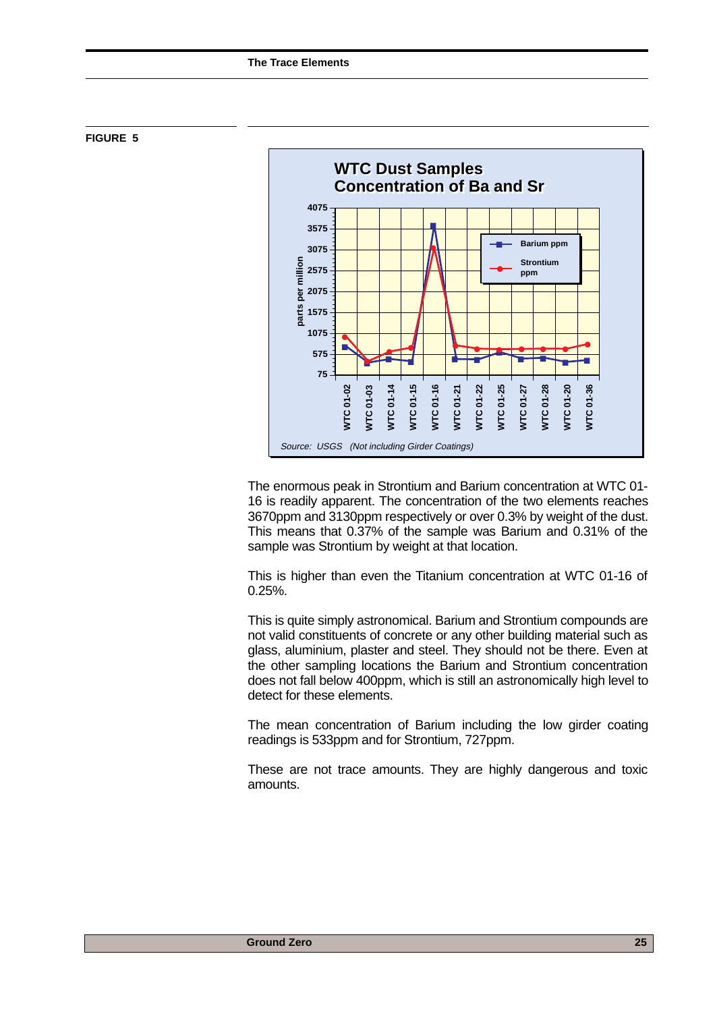



The enormous peak in Strontium and Barium concentration at WTC 01- 16 is readily apparent. The concentration of the two elements reaches 3670ppm and 3130ppm respectively or over 0.3% by weight of the dust. This means that 0.37% of the sample was Barium and 0.31% of the sample was Strontium by weight at that location.

This is higher than even the Titanium concentration at WTC 01-16 of 0.25%.

This is quite simply astronomical. Barium and Strontium compounds are not valid constituents of concrete or any other building material such as glass, aluminium, plaster and steel. They should not be there. Even at the other sampling locations the Barium and Strontium concentration does not fall below 400ppm, which is still an astronomically high level to detect for these elements.

The mean concentration of Barium including the low girder coating readings is 533ppm and for Strontium, 727ppm.

These are not trace amounts. They are highly dangerous and toxic amounts.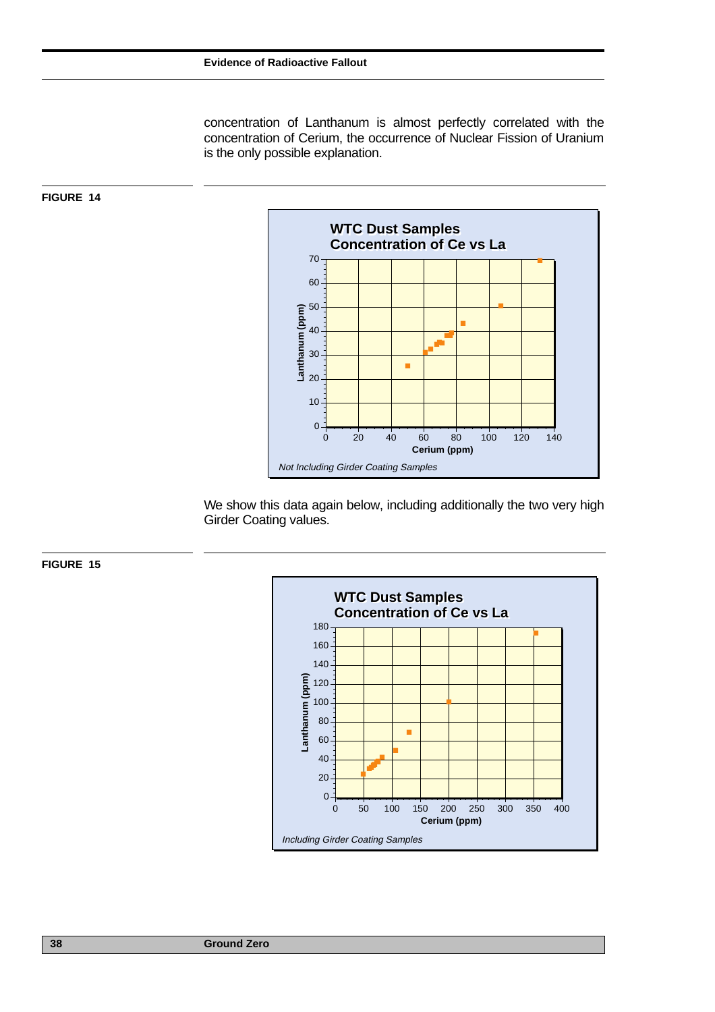concentration of Lanthanum is almost perfectly correlated with the concentration of Cerium, the occurrence of Nuclear Fission of Uranium is the only possible explanation.



We show this data again below, including additionally the two very high Girder Coating values.





**FIGURE 14**

**38 Ground Zero**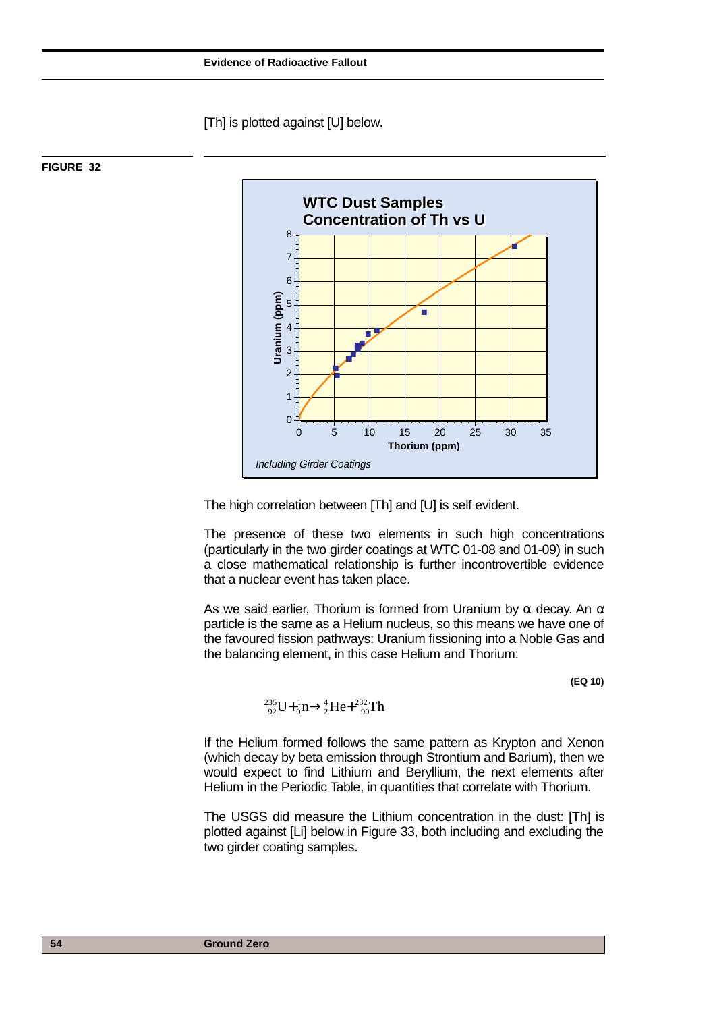[Th] is plotted against [U] below.



#### **FIGURE 32**

The high correlation between [Th] and [U] is self evident.

The presence of these two elements in such high concentrations (particularly in the two girder coatings at WTC 01-08 and 01-09) in such a close mathematical relationship is further incontrovertible evidence that a nuclear event has taken place.

As we said earlier, Thorium is formed from Uranium by  $\alpha$  decay. An  $\alpha$ particle is the same as a Helium nucleus, so this means we have one of the favoured fission pathways: Uranium fissioning into a Noble Gas and the balancing element, in this case Helium and Thorium:

**(EQ 10)**

$$
^{235}_{92}U + ^{1}_{0}n \rightarrow ^{4}_{2}He + ^{232}_{90}Th
$$

If the Helium formed follows the same pattern as Krypton and Xenon (which decay by beta emission through Strontium and Barium), then we would expect to find Lithium and Beryllium, the next elements after Helium in the Periodic Table, in quantities that correlate with Thorium.

The USGS did measure the Lithium concentration in the dust: [Th] is plotted against [Li] below in Figure 33, both including and excluding the two girder coating samples.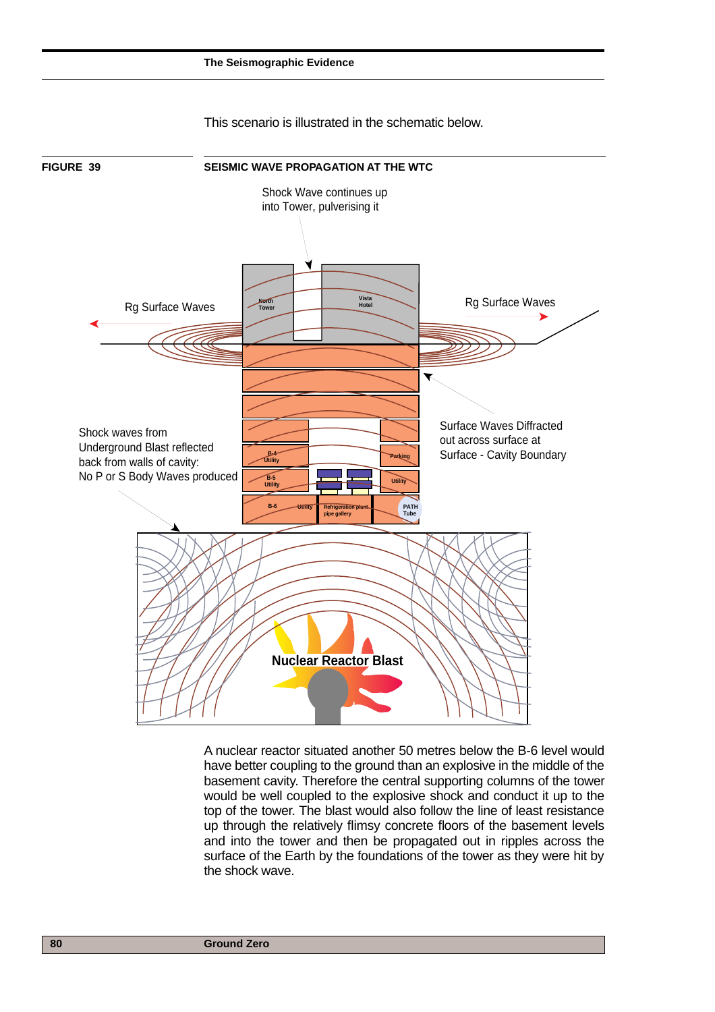

This scenario is illustrated in the schematic below.

A nuclear reactor situated another 50 metres below the B-6 level would have better coupling to the ground than an explosive in the middle of the basement cavity. Therefore the central supporting columns of the tower would be well coupled to the explosive shock and conduct it up to the top of the tower. The blast would also follow the line of least resistance up through the relatively flimsy concrete floors of the basement levels and into the tower and then be propagated out in ripples across the surface of the Earth by the foundations of the tower as they were hit by the shock wave.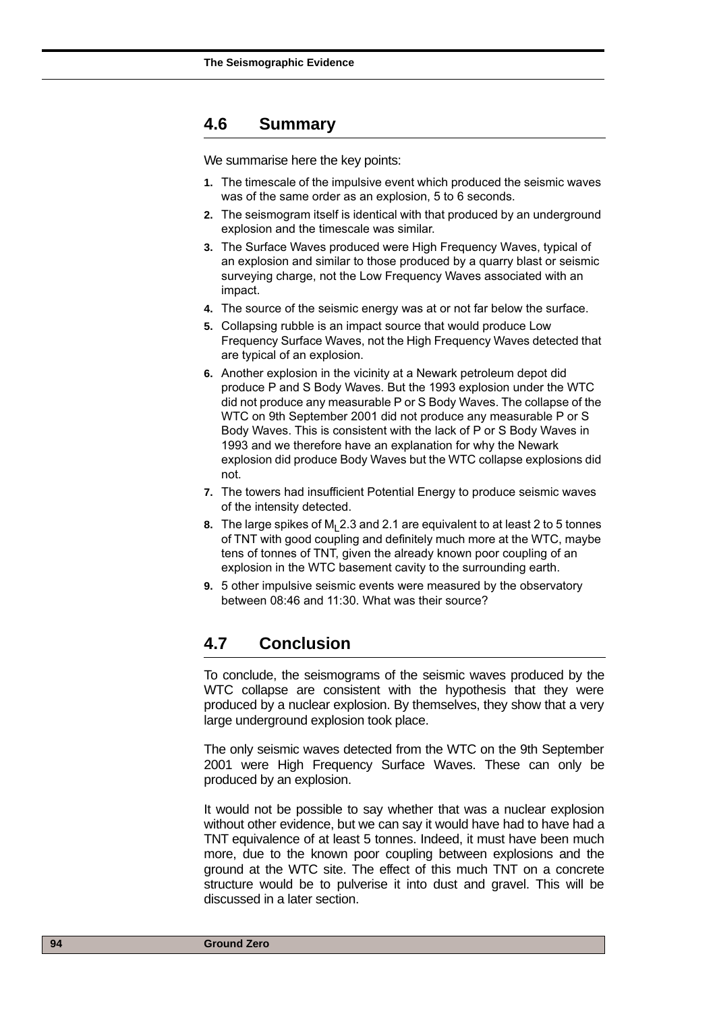#### **4.6 Summary**

We summarise here the key points:

- **1.** The timescale of the impulsive event which produced the seismic waves was of the same order as an explosion, 5 to 6 seconds.
- **2.** The seismogram itself is identical with that produced by an underground explosion and the timescale was similar.
- **3.** The Surface Waves produced were High Frequency Waves, typical of an explosion and similar to those produced by a quarry blast or seismic surveying charge, not the Low Frequency Waves associated with an impact.
- **4.** The source of the seismic energy was at or not far below the surface.
- **5.** Collapsing rubble is an impact source that would produce Low Frequency Surface Waves, not the High Frequency Waves detected that are typical of an explosion.
- **6.** Another explosion in the vicinity at a Newark petroleum depot did produce P and S Body Waves. But the 1993 explosion under the WTC did not produce any measurable P or S Body Waves. The collapse of the WTC on 9th September 2001 did not produce any measurable P or S Body Waves. This is consistent with the lack of P or S Body Waves in 1993 and we therefore have an explanation for why the Newark explosion did produce Body Waves but the WTC collapse explosions did not.
- **7.** The towers had insufficient Potential Energy to produce seismic waves of the intensity detected.
- **8.** The large spikes of M<sub>1</sub> 2.3 and 2.1 are equivalent to at least 2 to 5 tonnes of TNT with good coupling and definitely much more at the WTC, maybe tens of tonnes of TNT, given the already known poor coupling of an explosion in the WTC basement cavity to the surrounding earth.
- **9.** 5 other impulsive seismic events were measured by the observatory between 08:46 and 11:30. What was their source?

#### **4.7 Conclusion**

To conclude, the seismograms of the seismic waves produced by the WTC collapse are consistent with the hypothesis that they were produced by a nuclear explosion. By themselves, they show that a very large underground explosion took place.

The only seismic waves detected from the WTC on the 9th September 2001 were High Frequency Surface Waves. These can only be produced by an explosion.

It would not be possible to say whether that was a nuclear explosion without other evidence, but we can say it would have had to have had a TNT equivalence of at least 5 tonnes. Indeed, it must have been much more, due to the known poor coupling between explosions and the ground at the WTC site. The effect of this much TNT on a concrete structure would be to pulverise it into dust and gravel. This will be discussed in a later section.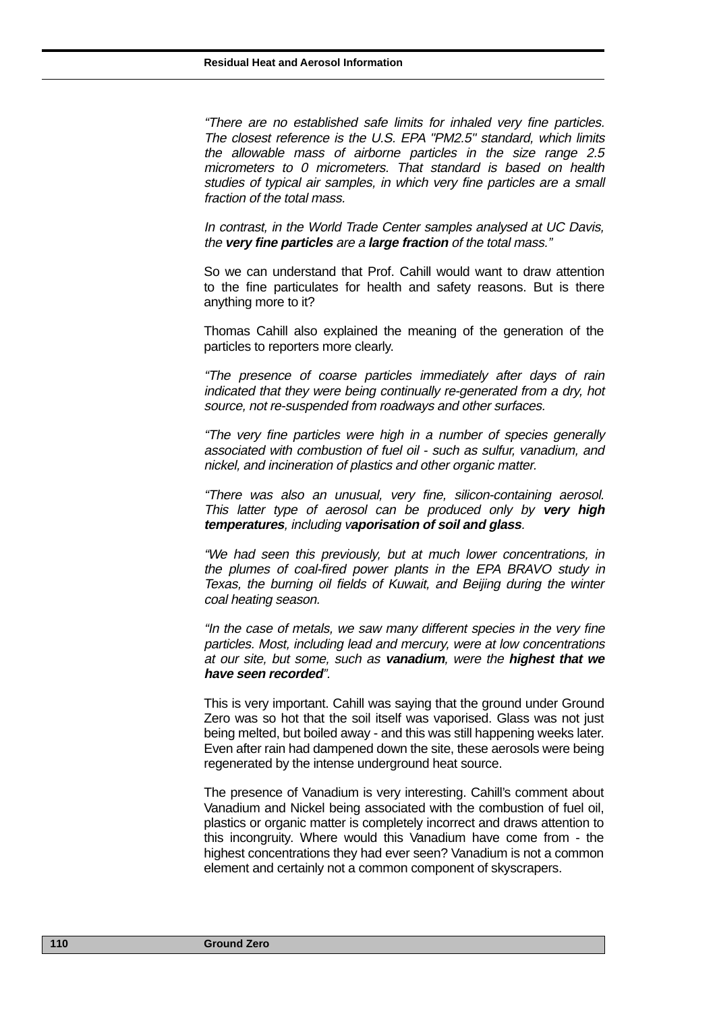"There are no established safe limits for inhaled very fine particles. The closest reference is the U.S. EPA "PM2.5" standard, which limits the allowable mass of airborne particles in the size range 2.5 micrometers to 0 micrometers. That standard is based on health studies of typical air samples, in which very fine particles are a small fraction of the total mass.

In contrast, in the World Trade Center samples analysed at UC Davis, the **very fine particles** are a **large fraction** of the total mass."

So we can understand that Prof. Cahill would want to draw attention to the fine particulates for health and safety reasons. But is there anything more to it?

Thomas Cahill also explained the meaning of the generation of the particles to reporters more clearly.

"The presence of coarse particles immediately after days of rain indicated that they were being continually re-generated from a dry, hot source, not re-suspended from roadways and other surfaces.

"The very fine particles were high in a number of species generally associated with combustion of fuel oil - such as sulfur, vanadium, and nickel, and incineration of plastics and other organic matter.

"There was also an unusual, very fine, silicon-containing aerosol. This latter type of aerosol can be produced only by **very high temperatures**, including v**aporisation of soil and glass**.

"We had seen this previously, but at much lower concentrations, in the plumes of coal-fired power plants in the EPA BRAVO study in Texas, the burning oil fields of Kuwait, and Beijing during the winter coal heating season.

"In the case of metals, we saw many different species in the very fine particles. Most, including lead and mercury, were at low concentrations at our site, but some, such as **vanadium**, were the **highest that we have seen recorded**".

This is very important. Cahill was saying that the ground under Ground Zero was so hot that the soil itself was vaporised. Glass was not just being melted, but boiled away - and this was still happening weeks later. Even after rain had dampened down the site, these aerosols were being regenerated by the intense underground heat source.

The presence of Vanadium is very interesting. Cahill's comment about Vanadium and Nickel being associated with the combustion of fuel oil, plastics or organic matter is completely incorrect and draws attention to this incongruity. Where would this Vanadium have come from - the highest concentrations they had ever seen? Vanadium is not a common element and certainly not a common component of skyscrapers.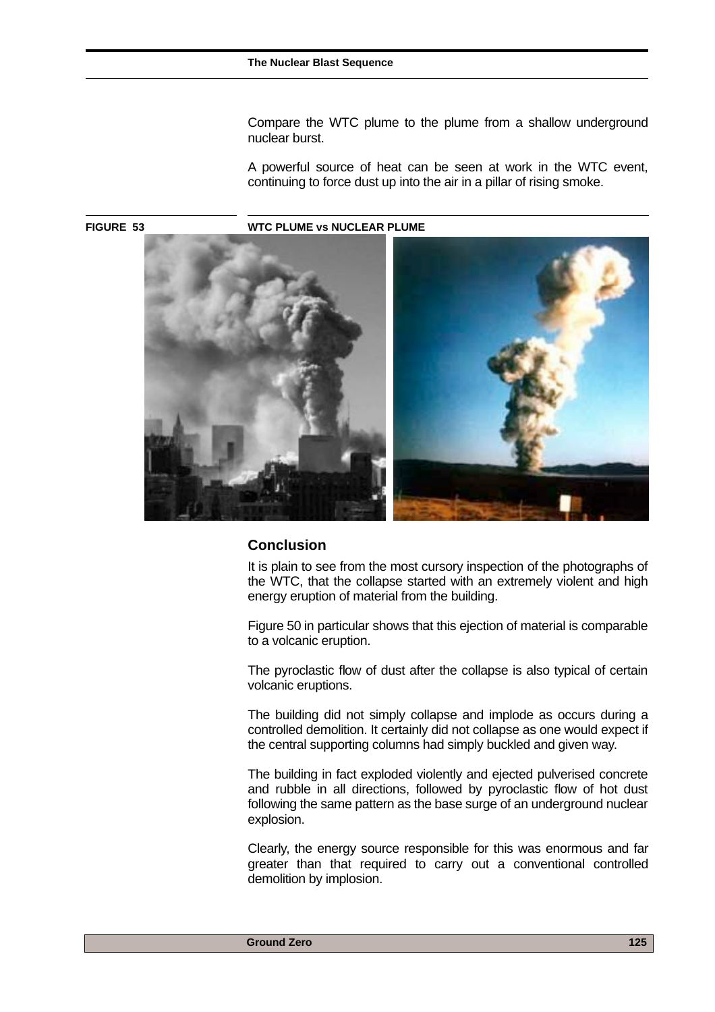Compare the WTC plume to the plume from a shallow underground nuclear burst.

A powerful source of heat can be seen at work in the WTC event, continuing to force dust up into the air in a pillar of rising smoke.

**FIGURE 53 WTC PLUME vs NUCLEAR PLUME**



#### **Conclusion**

It is plain to see from the most cursory inspection of the photographs of the WTC, that the collapse started with an extremely violent and high energy eruption of material from the building.

Figure 50 in particular shows that this ejection of material is comparable to a volcanic eruption.

The pyroclastic flow of dust after the collapse is also typical of certain volcanic eruptions.

The building did not simply collapse and implode as occurs during a controlled demolition. It certainly did not collapse as one would expect if the central supporting columns had simply buckled and given way.

The building in fact exploded violently and ejected pulverised concrete and rubble in all directions, followed by pyroclastic flow of hot dust following the same pattern as the base surge of an underground nuclear explosion.

Clearly, the energy source responsible for this was enormous and far greater than that required to carry out a conventional controlled demolition by implosion.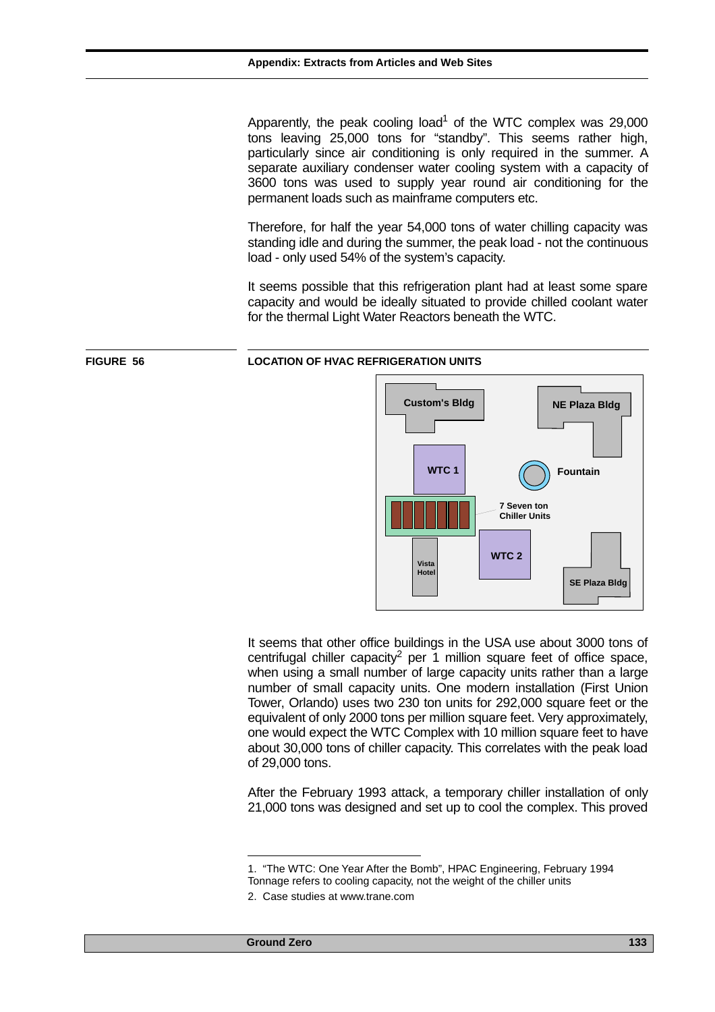Apparently, the peak cooling load<sup>1</sup> of the WTC complex was 29,000 tons leaving 25,000 tons for "standby". This seems rather high, particularly since air conditioning is only required in the summer. A separate auxiliary condenser water cooling system with a capacity of 3600 tons was used to supply year round air conditioning for the permanent loads such as mainframe computers etc.

Therefore, for half the year 54,000 tons of water chilling capacity was standing idle and during the summer, the peak load - not the continuous load - only used 54% of the system's capacity.

It seems possible that this refrigeration plant had at least some spare capacity and would be ideally situated to provide chilled coolant water for the thermal Light Water Reactors beneath the WTC.



It seems that other office buildings in the USA use about 3000 tons of centrifugal chiller capacity<sup>2</sup> per 1 million square feet of office space, when using a small number of large capacity units rather than a large number of small capacity units. One modern installation (First Union Tower, Orlando) uses two 230 ton units for 292,000 square feet or the equivalent of only 2000 tons per million square feet. Very approximately, one would expect the WTC Complex with 10 million square feet to have about 30,000 tons of chiller capacity. This correlates with the peak load of 29,000 tons.

After the February 1993 attack, a temporary chiller installation of only 21,000 tons was designed and set up to cool the complex. This proved



**Ground Zero 133 April 2018** 

<sup>1. &</sup>quot;The WTC: One Year After the Bomb", HPAC Engineering, February 1994 Tonnage refers to cooling capacity, not the weight of the chiller units

<sup>2.</sup> Case studies at www.trane.com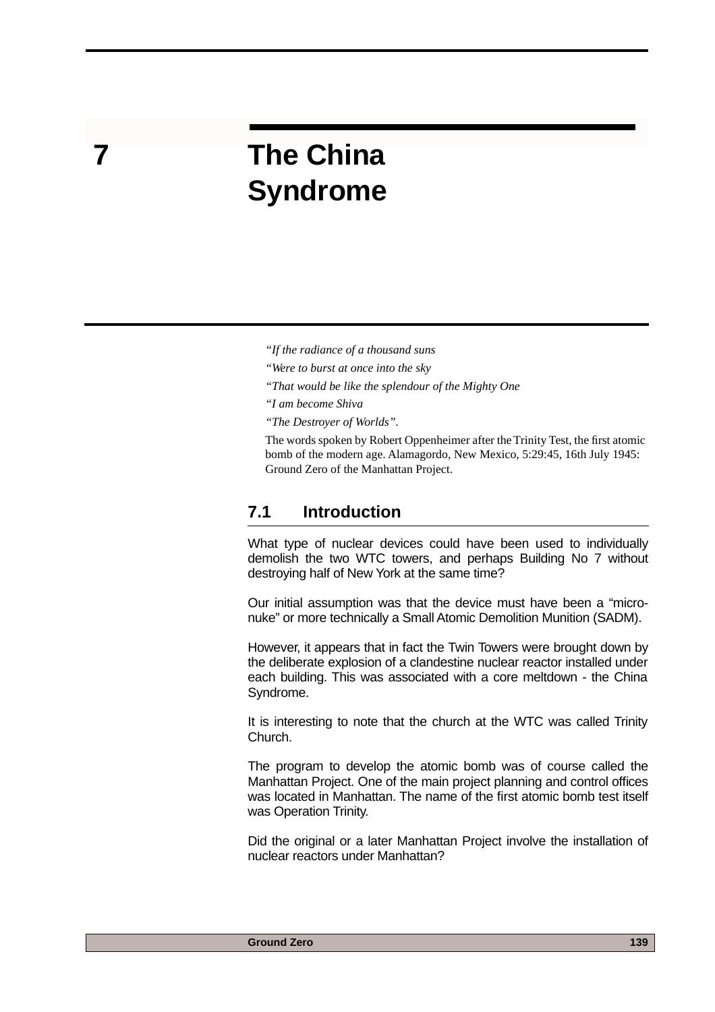## **7 The China Syndrome**

- *"If the radiance of a thousand suns*
- *"Were to burst at once into the sky*
- *"That would be like the splendour of the Mighty One*
- *"I am become Shiva*
- *"The Destroyer of Worlds".*

The words spoken by Robert Oppenheimer after the Trinity Test, the first atomic bomb of the modern age. Alamagordo, New Mexico, 5:29:45, 16th July 1945: Ground Zero of the Manhattan Project.

#### **7.1 Introduction**

What type of nuclear devices could have been used to individually demolish the two WTC towers, and perhaps Building No 7 without destroying half of New York at the same time?

Our initial assumption was that the device must have been a "micronuke" or more technically a Small Atomic Demolition Munition (SADM).

However, it appears that in fact the Twin Towers were brought down by the deliberate explosion of a clandestine nuclear reactor installed under each building. This was associated with a core meltdown - the China Syndrome.

It is interesting to note that the church at the WTC was called Trinity Church.

The program to develop the atomic bomb was of course called the Manhattan Project. One of the main project planning and control offices was located in Manhattan. The name of the first atomic bomb test itself was Operation Trinity.

Did the original or a later Manhattan Project involve the installation of nuclear reactors under Manhattan?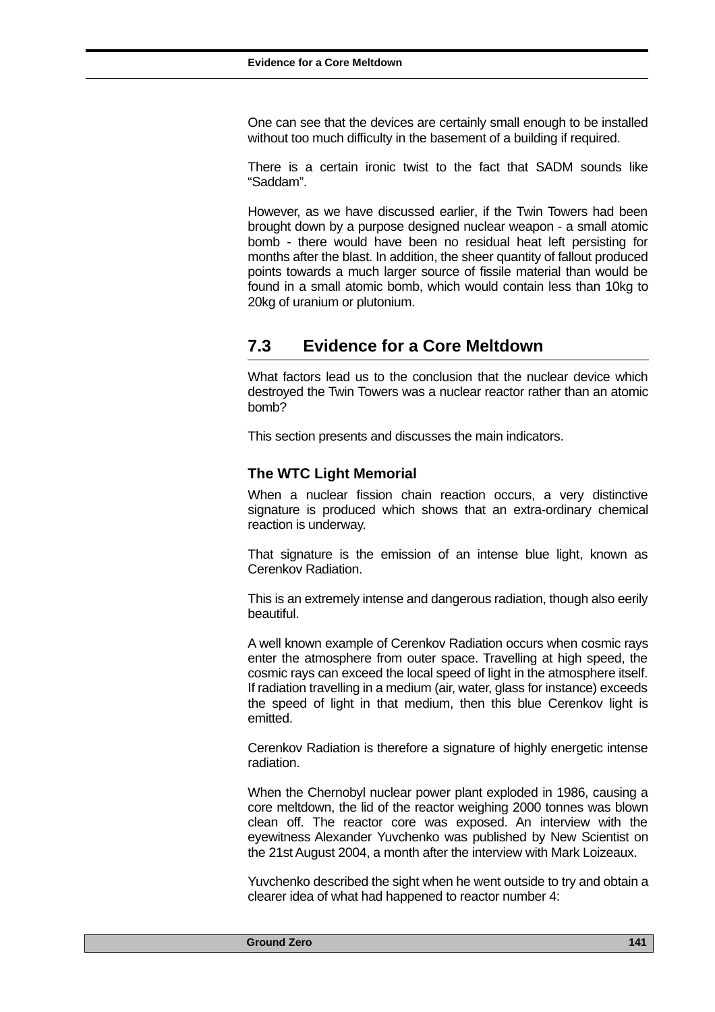One can see that the devices are certainly small enough to be installed without too much difficulty in the basement of a building if required.

There is a certain ironic twist to the fact that SADM sounds like "Saddam".

However, as we have discussed earlier, if the Twin Towers had been brought down by a purpose designed nuclear weapon - a small atomic bomb - there would have been no residual heat left persisting for months after the blast. In addition, the sheer quantity of fallout produced points towards a much larger source of fissile material than would be found in a small atomic bomb, which would contain less than 10kg to 20kg of uranium or plutonium.

### **7.3 Evidence for a Core Meltdown**

What factors lead us to the conclusion that the nuclear device which destroyed the Twin Towers was a nuclear reactor rather than an atomic bomb?

This section presents and discusses the main indicators.

#### **The WTC Light Memorial**

When a nuclear fission chain reaction occurs, a very distinctive signature is produced which shows that an extra-ordinary chemical reaction is underway.

That signature is the emission of an intense blue light, known as Cerenkov Radiation.

This is an extremely intense and dangerous radiation, though also eerily beautiful.

A well known example of Cerenkov Radiation occurs when cosmic rays enter the atmosphere from outer space. Travelling at high speed, the cosmic rays can exceed the local speed of light in the atmosphere itself. If radiation travelling in a medium (air, water, glass for instance) exceeds the speed of light in that medium, then this blue Cerenkov light is emitted.

Cerenkov Radiation is therefore a signature of highly energetic intense radiation.

When the Chernobyl nuclear power plant exploded in 1986, causing a core meltdown, the lid of the reactor weighing 2000 tonnes was blown clean off. The reactor core was exposed. An interview with the eyewitness Alexander Yuvchenko was published by New Scientist on the 21st August 2004, a month after the interview with Mark Loizeaux.

Yuvchenko described the sight when he went outside to try and obtain a clearer idea of what had happened to reactor number 4: